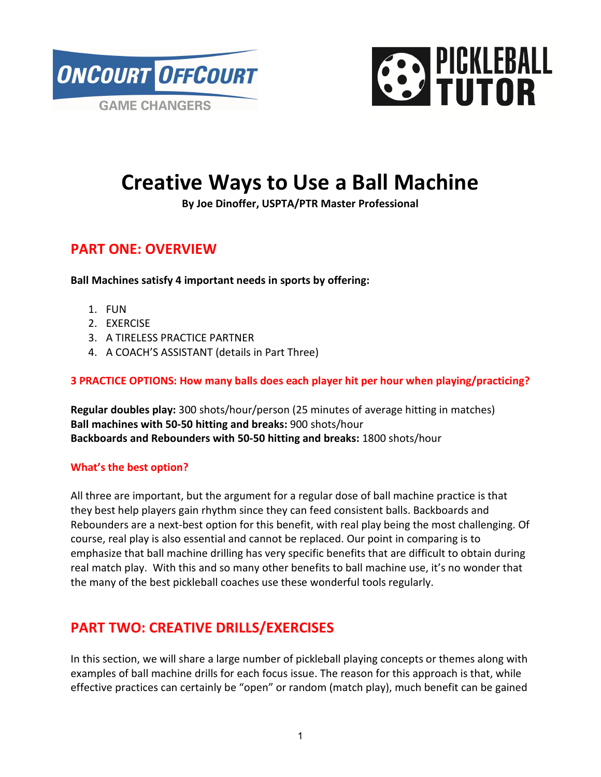



# **Creative Ways to Use a Ball Machine**

**By Joe Dinoffer, USPTA/PTR Master Professional** 

## **PART ONE: OVERVIEW**

**Ball Machines satisfy 4 important needs in sports by offering:** 

- 1. FUN
- 2. EXERCISE
- 3. A TIRELESS PRACTICE PARTNER
- 4. A COACH'S ASSISTANT (details in Part Three)

#### **3 PRACTICE OPTIONS: How many balls does each player hit per hour when playing/practicing?**

**Regular doubles play:** 300 shots/hour/person (25 minutes of average hitting in matches) **Ball machines with 50-50 hitting and breaks:** 900 shots/hour **Backboards and Rebounders with 50-50 hitting and breaks:** 1800 shots/hour

#### **What's the best option?**

All three are important, but the argument for a regular dose of ball machine practice is that they best help players gain rhythm since they can feed consistent balls. Backboards and Rebounders are a next-best option for this benefit, with real play being the most challenging. Of course, real play is also essential and cannot be replaced. Our point in comparing is to emphasize that ball machine drilling has very specific benefits that are difficult to obtain during real match play. With this and so many other benefits to ball machine use, it's no wonder that the many of the best pickleball coaches use these wonderful tools regularly.

## **PART TWO: CREATIVE DRILLS/EXERCISES**

In this section, we will share a large number of pickleball playing concepts or themes along with examples of ball machine drills for each focus issue. The reason for this approach is that, while effective practices can certainly be "open" or random (match play), much benefit can be gained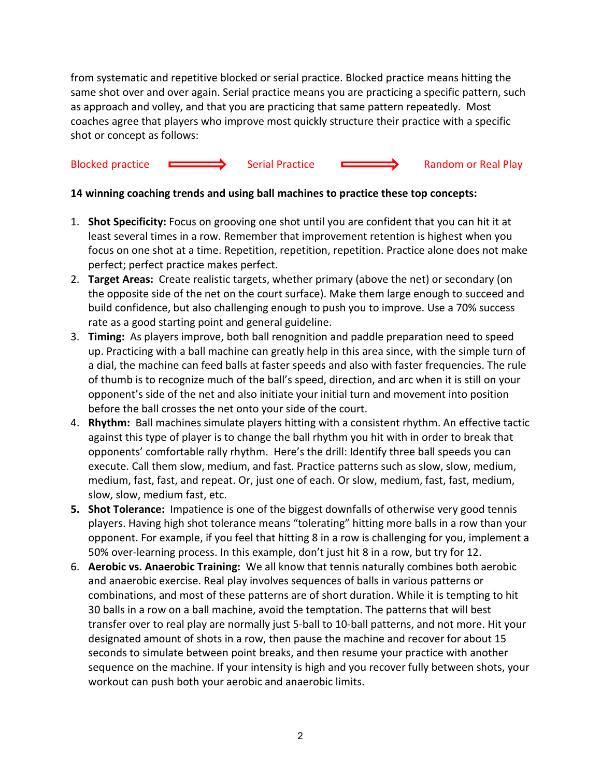from systematic and repetitive blocked or serial practice. Blocked practice means hitting the same shot over and over again. Serial practice means you are practicing a specific pattern, such as approach and volley, and that you are practicing that same pattern repeatedly. Most coaches agree that players who improve most quickly structure their practice with a specific shot or concept as follows:

## Blocked practice **Serial Practice** Serial Practice **Serial Practice** Random or Real Play

#### **14 winning coaching trends and using ball machines to practice these top concepts:**

- 1. **Shot Specificity:** Focus on grooving one shot until you are confident that you can hit it at least several times in a row. Remember that improvement retention is highest when you focus on one shot at a time. Repetition, repetition, repetition. Practice alone does not make perfect; perfect practice makes perfect.
- 2. **Target Areas:** Create realistic targets, whether primary (above the net) or secondary (on the opposite side of the net on the court surface). Make them large enough to succeed and build confidence, but also challenging enough to push you to improve. Use a 70% success rate as a good starting point and general guideline.
- 3. **Timing:** As players improve, both ball renognition and paddle preparation need to speed up. Practicing with a ball machine can greatly help in this area since, with the simple turn of a dial, the machine can feed balls at faster speeds and also with faster frequencies. The rule of thumb is to recognize much of the ball's speed, direction, and arc when it is still on your opponent's side of the net and also initiate your initial turn and movement into position before the ball crosses the net onto your side of the court.
- 4. **Rhythm:** Ball machines simulate players hitting with a consistent rhythm. An effective tactic against this type of player is to change the ball rhythm you hit with in order to break that opponents' comfortable rally rhythm. Here's the drill: Identify three ball speeds you can execute. Call them slow, medium, and fast. Practice patterns such as slow, slow, medium, medium, fast, fast, and repeat. Or, just one of each. Or slow, medium, fast, fast, medium, slow, slow, medium fast, etc.
- **5. Shot Tolerance:** Impatience is one of the biggest downfalls of otherwise very good tennis players. Having high shot tolerance means "tolerating" hitting more balls in a row than your opponent. For example, if you feel that hitting 8 in a row is challenging for you, implement a 50% over-learning process. In this example, don't just hit 8 in a row, but try for 12.
- 6. **Aerobic vs. Anaerobic Training:** We all know that tennis naturally combines both aerobic and anaerobic exercise. Real play involves sequences of balls in various patterns or combinations, and most of these patterns are of short duration. While it is tempting to hit 30 balls in a row on a ball machine, avoid the temptation. The patterns that will best transfer over to real play are normally just 5-ball to 10-ball patterns, and not more. Hit your designated amount of shots in a row, then pause the machine and recover for about 15 seconds to simulate between point breaks, and then resume your practice with another sequence on the machine. If your intensity is high and you recover fully between shots, your workout can push both your aerobic and anaerobic limits.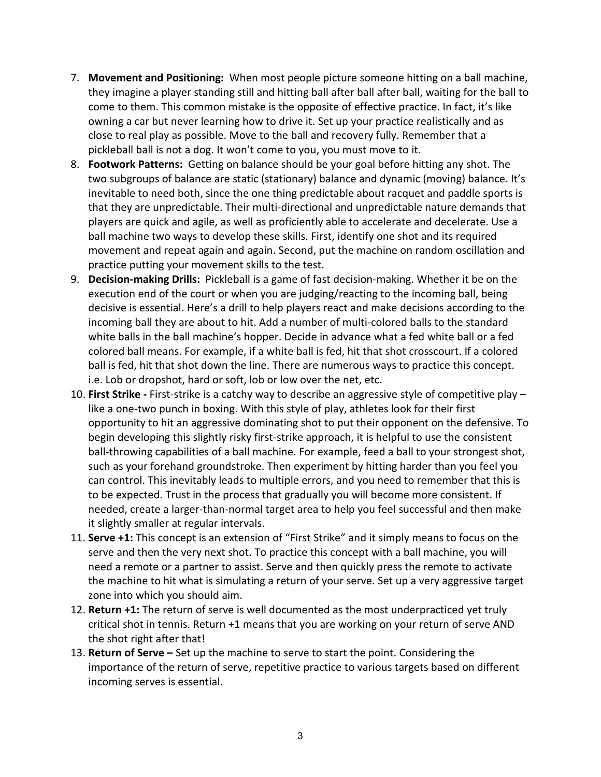- 7. **Movement and Positioning:** When most people picture someone hitting on a ball machine, they imagine a player standing still and hitting ball after ball after ball, waiting for the ball to come to them. This common mistake is the opposite of effective practice. In fact, it's like owning a car but never learning how to drive it. Set up your practice realistically and as close to real play as possible. Move to the ball and recovery fully. Remember that a pickleball ball is not a dog. It won't come to you, you must move to it.
- 8. **Footwork Patterns:** Getting on balance should be your goal before hitting any shot. The two subgroups of balance are static (stationary) balance and dynamic (moving) balance. It's inevitable to need both, since the one thing predictable about racquet and paddle sports is that they are unpredictable. Their multi-directional and unpredictable nature demands that players are quick and agile, as well as proficiently able to accelerate and decelerate. Use a ball machine two ways to develop these skills. First, identify one shot and its required movement and repeat again and again. Second, put the machine on random oscillation and practice putting your movement skills to the test.
- 9. **Decision-making Drills:** Pickleball is a game of fast decision-making. Whether it be on the execution end of the court or when you are judging/reacting to the incoming ball, being decisive is essential. Here's a drill to help players react and make decisions according to the incoming ball they are about to hit. Add a number of multi-colored balls to the standard white balls in the ball machine's hopper. Decide in advance what a fed white ball or a fed colored ball means. For example, if a white ball is fed, hit that shot crosscourt. If a colored ball is fed, hit that shot down the line. There are numerous ways to practice this concept. i.e. Lob or dropshot, hard or soft, lob or low over the net, etc.
- 10. **First Strike** First-strike is a catchy way to describe an aggressive style of competitive play like a one-two punch in boxing. With this style of play, athletes look for their first opportunity to hit an aggressive dominating shot to put their opponent on the defensive. To begin developing this slightly risky first-strike approach, it is helpful to use the consistent ball-throwing capabilities of a ball machine. For example, feed a ball to your strongest shot, such as your forehand groundstroke. Then experiment by hitting harder than you feel you can control. This inevitably leads to multiple errors, and you need to remember that this is to be expected. Trust in the process that gradually you will become more consistent. If needed, create a larger-than-normal target area to help you feel successful and then make it slightly smaller at regular intervals.
- 11. **Serve +1:** This concept is an extension of "First Strike" and it simply means to focus on the serve and then the very next shot. To practice this concept with a ball machine, you will need a remote or a partner to assist. Serve and then quickly press the remote to activate the machine to hit what is simulating a return of your serve. Set up a very aggressive target zone into which you should aim.
- 12. **Return +1:** The return of serve is well documented as the most underpracticed yet truly critical shot in tennis. Return +1 means that you are working on your return of serve AND the shot right after that!
- 13. **Return of Serve** Set up the machine to serve to start the point. Considering the importance of the return of serve, repetitive practice to various targets based on different incoming serves is essential.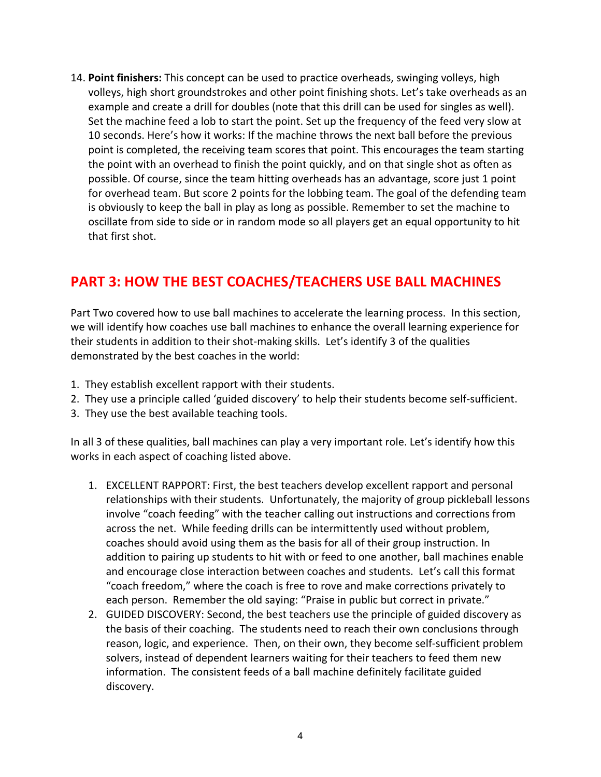14. **Point finishers:** This concept can be used to practice overheads, swinging volleys, high volleys, high short groundstrokes and other point finishing shots. Let's take overheads as an example and create a drill for doubles (note that this drill can be used for singles as well). Set the machine feed a lob to start the point. Set up the frequency of the feed very slow at 10 seconds. Here's how it works: If the machine throws the next ball before the previous point is completed, the receiving team scores that point. This encourages the team starting the point with an overhead to finish the point quickly, and on that single shot as often as possible. Of course, since the team hitting overheads has an advantage, score just 1 point for overhead team. But score 2 points for the lobbing team. The goal of the defending team is obviously to keep the ball in play as long as possible. Remember to set the machine to oscillate from side to side or in random mode so all players get an equal opportunity to hit that first shot.

## **PART 3: HOW THE BEST COACHES/TEACHERS USE BALL MACHINES**

Part Two covered how to use ball machines to accelerate the learning process. In this section, we will identify how coaches use ball machines to enhance the overall learning experience for their students in addition to their shot-making skills. Let's identify 3 of the qualities demonstrated by the best coaches in the world:

- 1. They establish excellent rapport with their students.
- 2. They use a principle called 'guided discovery' to help their students become self-sufficient.
- 3. They use the best available teaching tools.

In all 3 of these qualities, ball machines can play a very important role. Let's identify how this works in each aspect of coaching listed above.

- 1. EXCELLENT RAPPORT: First, the best teachers develop excellent rapport and personal relationships with their students. Unfortunately, the majority of group pickleball lessons involve "coach feeding" with the teacher calling out instructions and corrections from across the net. While feeding drills can be intermittently used without problem, coaches should avoid using them as the basis for all of their group instruction. In addition to pairing up students to hit with or feed to one another, ball machines enable and encourage close interaction between coaches and students. Let's call this format "coach freedom," where the coach is free to rove and make corrections privately to each person. Remember the old saying: "Praise in public but correct in private."
- 2. GUIDED DISCOVERY: Second, the best teachers use the principle of guided discovery as the basis of their coaching. The students need to reach their own conclusions through reason, logic, and experience. Then, on their own, they become self-sufficient problem solvers, instead of dependent learners waiting for their teachers to feed them new information. The consistent feeds of a ball machine definitely facilitate guided discovery.